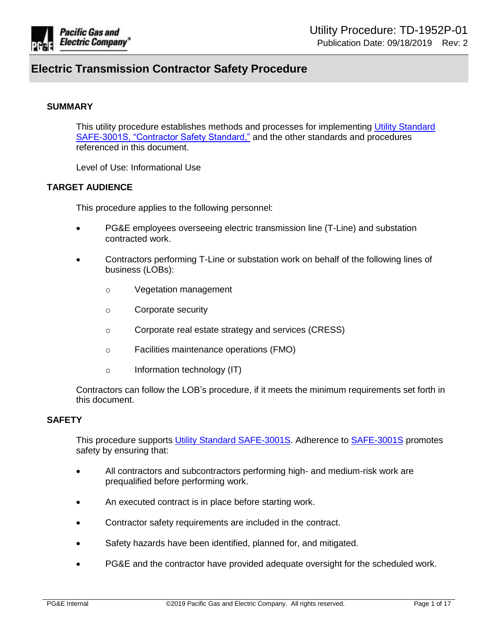

#### **SUMMARY**

This utility procedure establishes methods and processes for implementing Utility Standard [SAFE-3001S, "Contractor Safety Standard,"](https://edrm.comp.pge.com/D2/servlet/Download?auth=basic&event_name=open&version=PUBLISHED&id=09131aad8a2a5ab7&format=pdf&_docbase=pge_ecm) and the other standards and procedures referenced in this document.

Level of Use: Informational Use

### **TARGET AUDIENCE**

This procedure applies to the following personnel:

- PG&E employees overseeing electric transmission line (T-Line) and substation contracted work.
- Contractors performing T-Line or substation work on behalf of the following lines of business (LOBs):
	- o Vegetation management
	- o Corporate security
	- o Corporate real estate strategy and services (CRESS)
	- o Facilities maintenance operations (FMO)
	- o Information technology (IT)

Contractors can follow the LOB's procedure, if it meets the minimum requirements set forth in this document.

#### **SAFETY**

This procedure supports [Utility Standard SAFE-3001S.](https://edrm.comp.pge.com/D2/servlet/Download?auth=basic&event_name=open&version=PUBLISHED&id=09131aad8a2a5ab7&format=pdf&_docbase=pge_ecm) Adherence to [SAFE-3001S](https://edrm.comp.pge.com/D2/servlet/Download?auth=basic&event_name=open&version=PUBLISHED&id=09131aad8a2a5ab7&format=pdf&_docbase=pge_ecm) promotes safety by ensuring that:

- All contractors and subcontractors performing high- and medium-risk work are prequalified before performing work.
- An executed contract is in place before starting work.
- Contractor safety requirements are included in the contract.
- Safety hazards have been identified, planned for, and mitigated.
- PG&E and the contractor have provided adequate oversight for the scheduled work.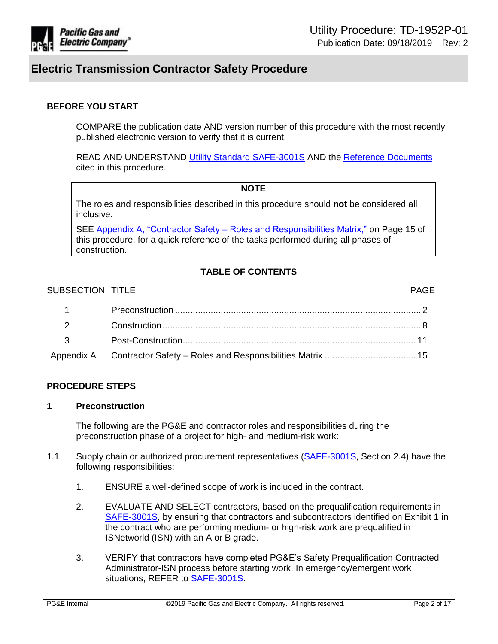

### **BEFORE YOU START**

COMPARE the publication date AND version number of this procedure with the most recently published electronic version to verify that it is current.

READ AND UNDERSTAND [Utility Standard SAFE-3001S](https://edrm.comp.pge.com/D2/servlet/Download?auth=basic&event_name=open&version=PUBLISHED&id=09131aad8a2a5ab7&format=pdf&_docbase=pge_ecm) AND the [Reference Documents](#page-12-0) cited in this procedure.

#### **NOTE**

The roles and responsibilities described in this procedure should **not** be considered all inclusive.

SEE Appendix A, "Contractor Safety – [Roles and Responsibilities Matrix,"](#page-14-0) on Page 15 of this procedure, for a quick reference of the tasks performed during all phases of construction.

### **TABLE OF CONTENTS**

#### SUBSECTION TITLE **All and the SUBSECTION TITLE**

| $\sim$ 1                 |                                                                      |  |
|--------------------------|----------------------------------------------------------------------|--|
| $\overline{\phantom{a}}$ |                                                                      |  |
| $\overline{\mathbf{3}}$  |                                                                      |  |
|                          | Appendix A Contractor Safety - Roles and Responsibilities Matrix  15 |  |

### **PROCEDURE STEPS**

#### <span id="page-1-0"></span>**1 Preconstruction**

The following are the PG&E and contractor roles and responsibilities during the preconstruction phase of a project for high- and medium-risk work:

- 1.1 Supply chain or authorized procurement representatives [\(SAFE-3001S,](https://edrm.comp.pge.com/D2/servlet/Download?auth=basic&event_name=open&version=PUBLISHED&id=09131aad8a2a5ab7&format=pdf&_docbase=pge_ecm) Section 2.4) have the following responsibilities:
	- 1. ENSURE a well-defined scope of work is included in the contract.
	- 2. EVALUATE AND SELECT contractors, based on the prequalification requirements in [SAFE-3001S,](https://edrm.comp.pge.com/D2/servlet/Download?auth=basic&event_name=open&version=PUBLISHED&id=09131aad8a2a5ab7&format=pdf&_docbase=pge_ecm) by ensuring that contractors and subcontractors identified on Exhibit 1 in the contract who are performing medium- or high-risk work are prequalified in ISNetworld (ISN) with an A or B grade.
	- 3. VERIFY that contractors have completed PG&E's Safety Prequalification Contracted Administrator-ISN process before starting work. In emergency/emergent work situations, REFER to [SAFE-3001S.](https://edrm.comp.pge.com/D2/servlet/Download?auth=basic&event_name=open&version=PUBLISHED&id=09131aad8a2a5ab7&format=pdf&_docbase=pge_ecm)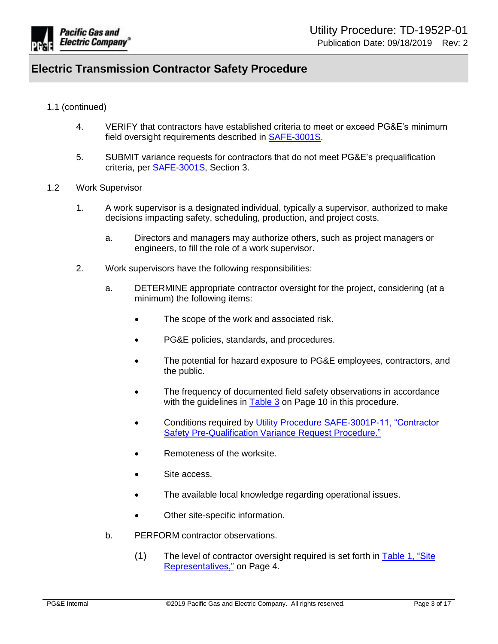

- 1.1 (continued)
	- 4. VERIFY that contractors have established criteria to meet or exceed PG&E's minimum field oversight requirements described in [SAFE-3001S.](https://edrm.comp.pge.com/D2/servlet/Download?auth=basic&event_name=open&version=PUBLISHED&id=09131aad8a2a5ab7&format=pdf&_docbase=pge_ecm)
	- 5. SUBMIT variance requests for contractors that do not meet PG&E's prequalification criteria, per [SAFE-3001S,](https://edrm.comp.pge.com/D2/servlet/Download?auth=basic&event_name=open&version=PUBLISHED&id=09131aad8a2a5ab7&format=pdf&_docbase=pge_ecm) Section 3.
- 1.2 Work Supervisor
	- 1. A work supervisor is a designated individual, typically a supervisor, authorized to make decisions impacting safety, scheduling, production, and project costs.
		- a. Directors and managers may authorize others, such as project managers or engineers, to fill the role of a work supervisor.
	- 2. Work supervisors have the following responsibilities:
		- a. DETERMINE appropriate contractor oversight for the project, considering (at a minimum) the following items:
			- The scope of the work and associated risk.
			- PG&E policies, standards, and procedures.
			- The potential for hazard exposure to PG&E employees, contractors, and the public.
			- The frequency of documented field safety observations in accordance with the guidelines in [Table 3](#page-9-0) on Page 10 in this procedure.
			- Conditions required by [Utility Procedure SAFE-3001P-11, "Contractor](https://edrm.comp.pge.com/D2/servlet/Download?auth=basic&event_name=open&version=CURRENT&id=09131aad85ec22d7&format=pdf&_docbase=pge_ecm)  [Safety Pre-Qualification Variance Request Procedure."](https://edrm.comp.pge.com/D2/servlet/Download?auth=basic&event_name=open&version=CURRENT&id=09131aad85ec22d7&format=pdf&_docbase=pge_ecm)
			- Remoteness of the worksite.
			- Site access.
			- The available local knowledge regarding operational issues.
			- Other site-specific information.
		- b. PERFORM contractor observations.
			- (1) The level of contractor oversight required is set forth in [Table 1, "Site](#page-3-0)  [Representatives,"](#page-3-0) on Page 4.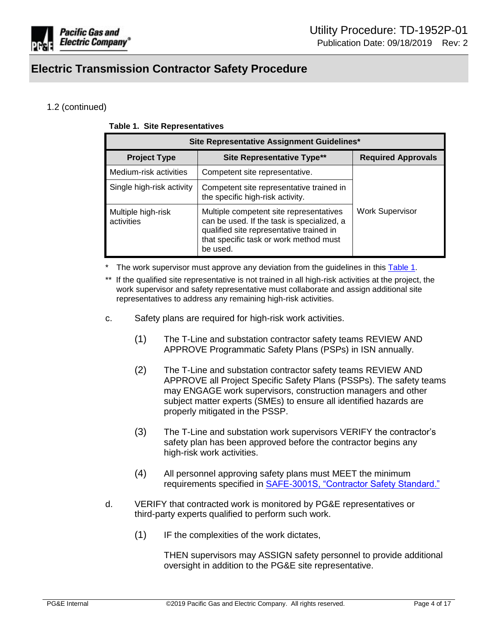

## <span id="page-3-0"></span>1.2 (continued)

| Site Representative Assignment Guidelines* |                                                                                                                                                                                         |                           |
|--------------------------------------------|-----------------------------------------------------------------------------------------------------------------------------------------------------------------------------------------|---------------------------|
| <b>Project Type</b>                        | <b>Site Representative Type**</b>                                                                                                                                                       | <b>Required Approvals</b> |
| Medium-risk activities                     | Competent site representative.                                                                                                                                                          |                           |
| Single high-risk activity                  | Competent site representative trained in<br>the specific high-risk activity.                                                                                                            |                           |
| Multiple high-risk<br>activities           | Multiple competent site representatives<br>can be used. If the task is specialized, a<br>qualified site representative trained in<br>that specific task or work method must<br>be used. | Work Supervisor           |

The work supervisor must approve any deviation from the guidelines in this [Table 1.](#page-3-0)

- If the qualified site representative is not trained in all high-risk activities at the project, the work supervisor and safety representative must collaborate and assign additional site representatives to address any remaining high-risk activities.
- c. Safety plans are required for high-risk work activities.
	- (1) The T-Line and substation contractor safety teams REVIEW AND APPROVE Programmatic Safety Plans (PSPs) in ISN annually.
	- (2) The T-Line and substation contractor safety teams REVIEW AND APPROVE all Project Specific Safety Plans (PSSPs). The safety teams may ENGAGE work supervisors, construction managers and other subject matter experts (SMEs) to ensure all identified hazards are properly mitigated in the PSSP.
	- (3) The T-Line and substation work supervisors VERIFY the contractor's safety plan has been approved before the contractor begins any high-risk work activities.
	- (4) All personnel approving safety plans must MEET the minimum requirements specified in [SAFE-3001S, "Contractor Safety Standard."](https://edrm.comp.pge.com/D2/servlet/Download?auth=basic&event_name=open&version=PUBLISHED&id=09131aad8a2a5ab7&format=pdf&_docbase=pge_ecm)
- d. VERIFY that contracted work is monitored by PG&E representatives or third-party experts qualified to perform such work.
	- (1) IF the complexities of the work dictates,

THEN supervisors may ASSIGN safety personnel to provide additional oversight in addition to the PG&E site representative.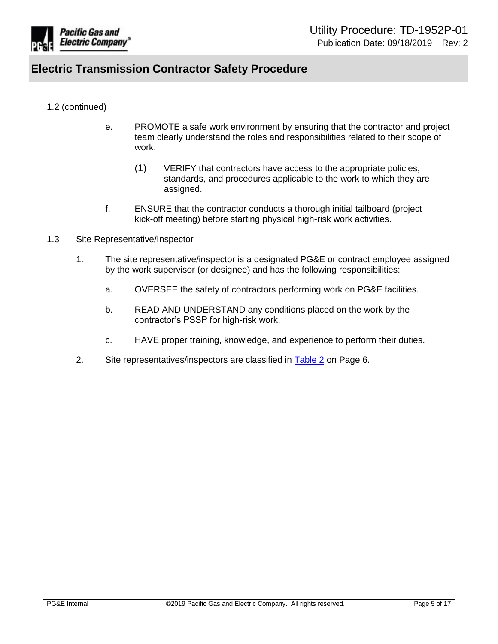

### 1.2 (continued)

- e. PROMOTE a safe work environment by ensuring that the contractor and project team clearly understand the roles and responsibilities related to their scope of work:
	- (1) VERIFY that contractors have access to the appropriate policies, standards, and procedures applicable to the work to which they are assigned.
- f. ENSURE that the contractor conducts a thorough initial tailboard (project kick-off meeting) before starting physical high-risk work activities.
- 1.3 Site Representative/Inspector
	- 1. The site representative/inspector is a designated PG&E or contract employee assigned by the work supervisor (or designee) and has the following responsibilities:
		- a. OVERSEE the safety of contractors performing work on PG&E facilities.
		- b. READ AND UNDERSTAND any conditions placed on the work by the contractor's PSSP for high-risk work.
		- c. HAVE proper training, knowledge, and experience to perform their duties.
	- 2. Site representatives/inspectors are classified in [Table 2](#page-5-0) on Page 6.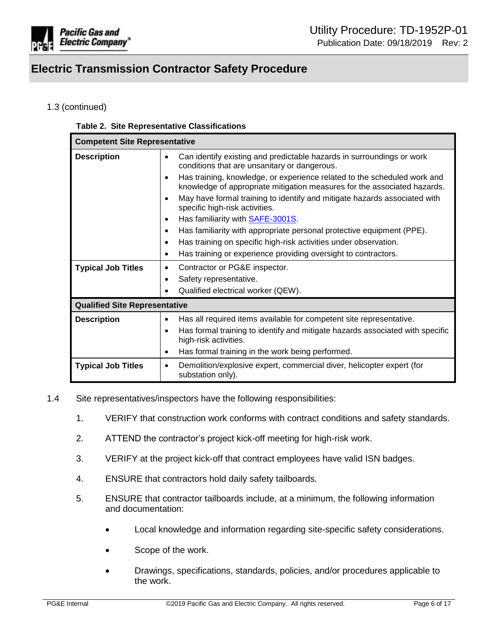

## <span id="page-5-0"></span>1.3 (continued)

#### **Table 2. Site Representative Classifications**

| <b>Competent Site Representative</b> |                                                                                                                                                      |  |
|--------------------------------------|------------------------------------------------------------------------------------------------------------------------------------------------------|--|
| <b>Description</b>                   | Can identify existing and predictable hazards in surroundings or work<br>conditions that are unsanitary or dangerous.                                |  |
|                                      | Has training, knowledge, or experience related to the scheduled work and<br>knowledge of appropriate mitigation measures for the associated hazards. |  |
|                                      | May have formal training to identify and mitigate hazards associated with<br>specific high-risk activities.                                          |  |
|                                      | Has familiarity with <b>SAFE-3001S</b> .                                                                                                             |  |
|                                      | Has familiarity with appropriate personal protective equipment (PPE).                                                                                |  |
|                                      | Has training on specific high-risk activities under observation.                                                                                     |  |
|                                      | Has training or experience providing oversight to contractors.                                                                                       |  |
| <b>Typical Job Titles</b>            | Contractor or PG&E inspector.                                                                                                                        |  |
|                                      | Safety representative.                                                                                                                               |  |
|                                      | Qualified electrical worker (QEW).                                                                                                                   |  |
| <b>Qualified Site Representative</b> |                                                                                                                                                      |  |
| <b>Description</b>                   | Has all required items available for competent site representative.                                                                                  |  |
|                                      | Has formal training to identify and mitigate hazards associated with specific<br>high-risk activities.                                               |  |
|                                      | Has formal training in the work being performed.                                                                                                     |  |
| <b>Typical Job Titles</b>            | Demolition/explosive expert, commercial diver, helicopter expert (for<br>substation only).                                                           |  |

- 1.4 Site representatives/inspectors have the following responsibilities:
	- 1. VERIFY that construction work conforms with contract conditions and safety standards.
	- 2. ATTEND the contractor's project kick-off meeting for high-risk work.
	- 3. VERIFY at the project kick-off that contract employees have valid ISN badges.
	- 4. ENSURE that contractors hold daily safety tailboards.
	- 5. ENSURE that contractor tailboards include, at a minimum, the following information and documentation:
		- Local knowledge and information regarding site-specific safety considerations.
		- Scope of the work.
		- Drawings, specifications, standards, policies, and/or procedures applicable to the work.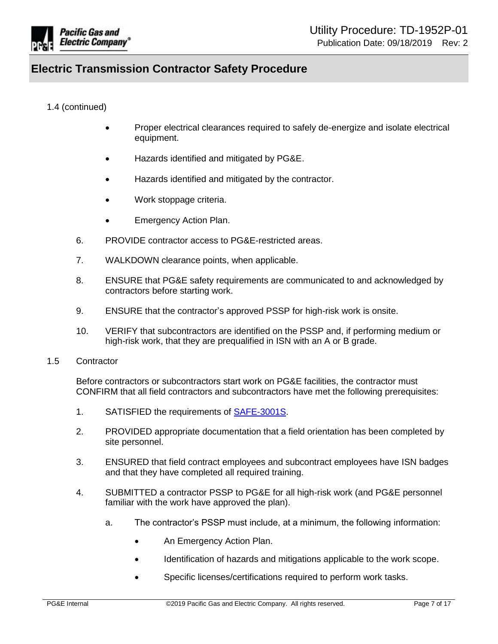

## 1.4 (continued)

- Proper electrical clearances required to safely de-energize and isolate electrical equipment.
- Hazards identified and mitigated by PG&E.
- Hazards identified and mitigated by the contractor.
- Work stoppage criteria.
- Emergency Action Plan.
- 6. PROVIDE contractor access to PG&E-restricted areas.
- 7. WALKDOWN clearance points, when applicable.
- 8. ENSURE that PG&E safety requirements are communicated to and acknowledged by contractors before starting work.
- 9. ENSURE that the contractor's approved PSSP for high-risk work is onsite.
- 10. VERIFY that subcontractors are identified on the PSSP and, if performing medium or high-risk work, that they are prequalified in ISN with an A or B grade.
- 1.5 Contractor

Before contractors or subcontractors start work on PG&E facilities, the contractor must CONFIRM that all field contractors and subcontractors have met the following prerequisites:

- 1. SATISFIED the requirements of [SAFE-3001S.](https://edrm.comp.pge.com/D2/servlet/Download?auth=basic&event_name=open&version=PUBLISHED&id=09131aad8a2a5ab7&format=pdf&_docbase=pge_ecm)
- 2. PROVIDED appropriate documentation that a field orientation has been completed by site personnel.
- 3. ENSURED that field contract employees and subcontract employees have ISN badges and that they have completed all required training.
- 4. SUBMITTED a contractor PSSP to PG&E for all high-risk work (and PG&E personnel familiar with the work have approved the plan).
	- a. The contractor's PSSP must include, at a minimum, the following information:
		- An Emergency Action Plan.
		- Identification of hazards and mitigations applicable to the work scope.
		- Specific licenses/certifications required to perform work tasks.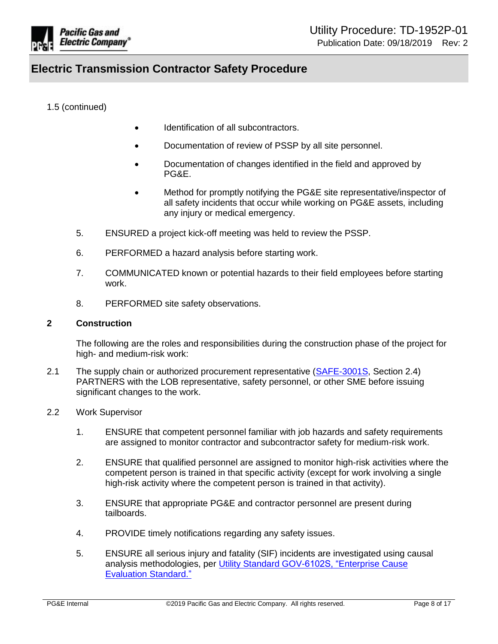

1.5 (continued)

- Identification of all subcontractors.
- Documentation of review of PSSP by all site personnel.
- Documentation of changes identified in the field and approved by PG&E.
- Method for promptly notifying the PG&E site representative/inspector of all safety incidents that occur while working on PG&E assets, including any injury or medical emergency.
- 5. ENSURED a project kick-off meeting was held to review the PSSP.
- 6. PERFORMED a hazard analysis before starting work.
- 7. COMMUNICATED known or potential hazards to their field employees before starting work.
- 8. PERFORMED site safety observations.

#### <span id="page-7-0"></span>**2 Construction**

The following are the roles and responsibilities during the construction phase of the project for high- and medium-risk work:

- 2.1 The supply chain or authorized procurement representative [\(SAFE-3001S,](https://edrm.comp.pge.com/D2/servlet/Download?auth=basic&event_name=open&version=PUBLISHED&id=09131aad8a2a5ab7&format=pdf&_docbase=pge_ecm) Section 2.4) PARTNERS with the LOB representative, safety personnel, or other SME before issuing significant changes to the work.
- 2.2 Work Supervisor
	- 1. ENSURE that competent personnel familiar with job hazards and safety requirements are assigned to monitor contractor and subcontractor safety for medium-risk work.
	- 2. ENSURE that qualified personnel are assigned to monitor high-risk activities where the competent person is trained in that specific activity (except for work involving a single high-risk activity where the competent person is trained in that activity).
	- 3. ENSURE that appropriate PG&E and contractor personnel are present during tailboards.
	- 4. PROVIDE timely notifications regarding any safety issues.
	- 5. ENSURE all serious injury and fatality (SIF) incidents are investigated using causal analysis methodologies, per [Utility Standard GOV-6102S, "Enterprise Cause](https://edrm.comp.pge.com/D2/servlet/Download?auth=basic&event_name=open&version=CURRENT&id=09131aad84b68872&format=pdf&_docbase=pge_ecm)  [Evaluation Standard."](https://edrm.comp.pge.com/D2/servlet/Download?auth=basic&event_name=open&version=CURRENT&id=09131aad84b68872&format=pdf&_docbase=pge_ecm)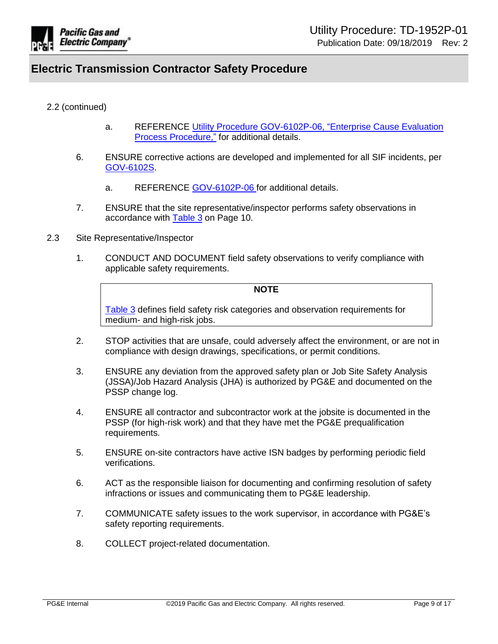

### 2.2 (continued)

- a. REFERENCE [Utility Procedure GOV-6102P-06, "Enterprise Cause Evaluation](https://edrm.comp.pge.com/D2/servlet/Download?auth=basic&event_name=open&version=CURRENT&id=09131aad88f4ef97&format=pdf&_docbase=pge_ecm)  **Process Procedure,"** for additional details.
- 6. ENSURE corrective actions are developed and implemented for all SIF incidents, per [GOV-6102S.](https://edrm.comp.pge.com/D2/servlet/Download?auth=basic&event_name=open&version=CURRENT&id=09131aad84b68872&format=pdf&_docbase=pge_ecm)
	- a. REFERENCE [GOV-6102P-06](https://edrm.comp.pge.com/D2/servlet/Download?auth=basic&event_name=open&version=CURRENT&id=09131aad88f4ef97&format=pdf&_docbase=pge_ecm) for additional details.
- 7. ENSURE that the site representative/inspector performs safety observations in accordance with [Table 3](#page-9-0) on Page 10.
- 2.3 Site Representative/Inspector
	- 1. CONDUCT AND DOCUMENT field safety observations to verify compliance with applicable safety requirements.

#### **NOTE**

[Table 3](#page-9-0) defines field safety risk categories and observation requirements for medium- and high-risk jobs.

- 2. STOP activities that are unsafe, could adversely affect the environment, or are not in compliance with design drawings, specifications, or permit conditions.
- 3. ENSURE any deviation from the approved safety plan or Job Site Safety Analysis (JSSA)/Job Hazard Analysis (JHA) is authorized by PG&E and documented on the PSSP change log.
- 4. ENSURE all contractor and subcontractor work at the jobsite is documented in the PSSP (for high-risk work) and that they have met the PG&E prequalification requirements.
- 5. ENSURE on-site contractors have active ISN badges by performing periodic field verifications.
- 6. ACT as the responsible liaison for documenting and confirming resolution of safety infractions or issues and communicating them to PG&E leadership.
- 7. COMMUNICATE safety issues to the work supervisor, in accordance with PG&E's safety reporting requirements.
- 8. COLLECT project-related documentation.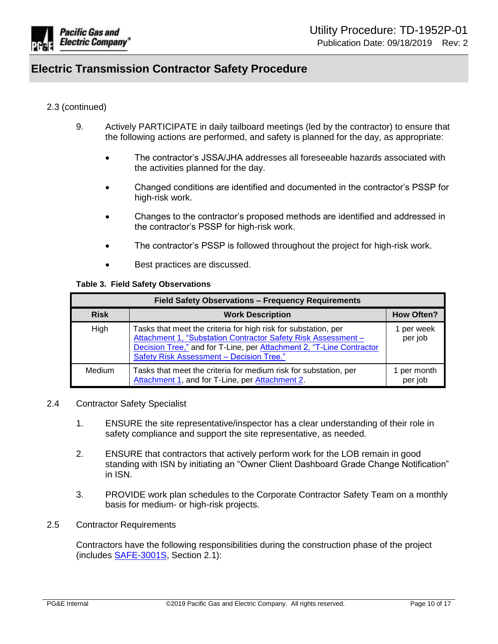

### 2.3 (continued)

- 9. Actively PARTICIPATE in daily tailboard meetings (led by the contractor) to ensure that the following actions are performed, and safety is planned for the day, as appropriate:
	- The contractor's JSSA/JHA addresses all foreseeable hazards associated with the activities planned for the day.
	- Changed conditions are identified and documented in the contractor's PSSP for high-risk work.
	- Changes to the contractor's proposed methods are identified and addressed in the contractor's PSSP for high-risk work.
	- The contractor's PSSP is followed throughout the project for high-risk work.
	- Best practices are discussed.

#### **Table 3. Field Safety Observations**

<span id="page-9-0"></span>

| Field Safety Observations - Frequency Requirements |                                                                                                                                                                                                                                                            |                        |
|----------------------------------------------------|------------------------------------------------------------------------------------------------------------------------------------------------------------------------------------------------------------------------------------------------------------|------------------------|
| <b>Risk</b>                                        | <b>Work Description</b>                                                                                                                                                                                                                                    | <b>How Often?</b>      |
| High                                               | Tasks that meet the criteria for high risk for substation, per<br>Attachment 1, "Substation Contractor Safety Risk Assessment -<br>Decision Tree," and for T-Line, per Attachment 2, "T-Line Contractor<br><b>Safety Risk Assessment - Decision Tree."</b> | 1 per week<br>per job  |
| Medium                                             | Tasks that meet the criteria for medium risk for substation, per<br>Attachment 1, and for T-Line, per Attachment 2.                                                                                                                                        | 1 per month<br>per job |

### 2.4 Contractor Safety Specialist

- 1. ENSURE the site representative/inspector has a clear understanding of their role in safety compliance and support the site representative, as needed.
- 2. ENSURE that contractors that actively perform work for the LOB remain in good standing with ISN by initiating an "Owner Client Dashboard Grade Change Notification" in ISN.
- 3. PROVIDE work plan schedules to the Corporate Contractor Safety Team on a monthly basis for medium- or high-risk projects.
- 2.5 Contractor Requirements

Contractors have the following responsibilities during the construction phase of the project (includes [SAFE-3001S,](https://edrm.comp.pge.com/D2/servlet/Download?auth=basic&event_name=open&version=PUBLISHED&id=09131aad8a2a5ab7&format=pdf&_docbase=pge_ecm) Section 2.1):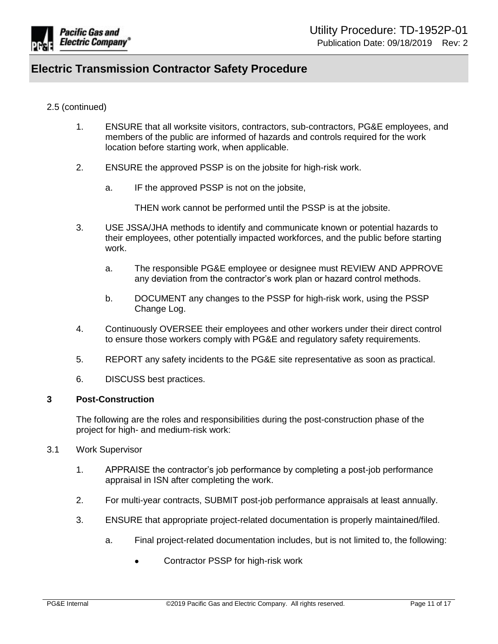

### 2.5 (continued)

- 1. ENSURE that all worksite visitors, contractors, sub-contractors, PG&E employees, and members of the public are informed of hazards and controls required for the work location before starting work, when applicable.
- 2. ENSURE the approved PSSP is on the jobsite for high-risk work.
	- a. IF the approved PSSP is not on the jobsite,

THEN work cannot be performed until the PSSP is at the jobsite.

- 3. USE JSSA/JHA methods to identify and communicate known or potential hazards to their employees, other potentially impacted workforces, and the public before starting work.
	- a. The responsible PG&E employee or designee must REVIEW AND APPROVE any deviation from the contractor's work plan or hazard control methods.
	- b. DOCUMENT any changes to the PSSP for high-risk work, using the PSSP Change Log.
- 4. Continuously OVERSEE their employees and other workers under their direct control to ensure those workers comply with PG&E and regulatory safety requirements.
- 5. REPORT any safety incidents to the PG&E site representative as soon as practical.
- 6. DISCUSS best practices.

### <span id="page-10-0"></span>**3 Post-Construction**

The following are the roles and responsibilities during the post-construction phase of the project for high- and medium-risk work:

- 3.1 Work Supervisor
	- 1. APPRAISE the contractor's job performance by completing a post-job performance appraisal in ISN after completing the work.
	- 2. For multi-year contracts, SUBMIT post-job performance appraisals at least annually.
	- 3. ENSURE that appropriate project-related documentation is properly maintained/filed.
		- a. Final project-related documentation includes, but is not limited to, the following:
			- Contractor PSSP for high-risk work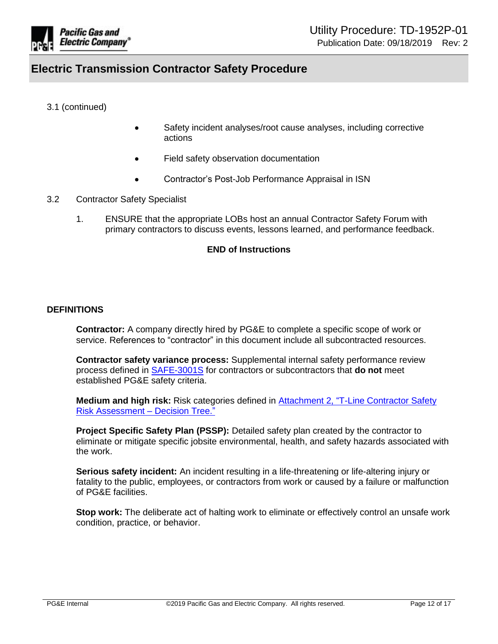

3.1 (continued)

- Safety incident analyses/root cause analyses, including corrective actions
- Field safety observation documentation
- Contractor's Post-Job Performance Appraisal in ISN
- 3.2 Contractor Safety Specialist
	- 1. ENSURE that the appropriate LOBs host an annual Contractor Safety Forum with primary contractors to discuss events, lessons learned, and performance feedback.

#### **END of Instructions**

#### **DEFINITIONS**

**Contractor:** A company directly hired by PG&E to complete a specific scope of work or service. References to "contractor" in this document include all subcontracted resources.

**Contractor safety variance process:** Supplemental internal safety performance review process defined in [SAFE-3001S](https://edrm.comp.pge.com/D2/servlet/Download?auth=basic&event_name=open&version=PUBLISHED&id=09131aad8a2a5ab7&format=pdf&_docbase=pge_ecm) for contractors or subcontractors that **do not** meet established PG&E safety criteria.

**Medium and high risk:** Risk categories defined in [Attachment 2, "T-Line Contractor Safety](https://ecmappwlsp01c2.comp.pge.com/TILVIEWER?chronicleId=09131aad894b8596&vd=false&device=false)  [Risk Assessment – Decision Tree."](https://ecmappwlsp01c2.comp.pge.com/TILVIEWER?chronicleId=09131aad894b8596&vd=false&device=false)

**Project Specific Safety Plan (PSSP):** Detailed safety plan created by the contractor to eliminate or mitigate specific jobsite environmental, health, and safety hazards associated with the work.

**Serious safety incident:** An incident resulting in a life-threatening or life-altering injury or fatality to the public, employees, or contractors from work or caused by a failure or malfunction of PG&E facilities.

**Stop work:** The deliberate act of halting work to eliminate or effectively control an unsafe work condition, practice, or behavior.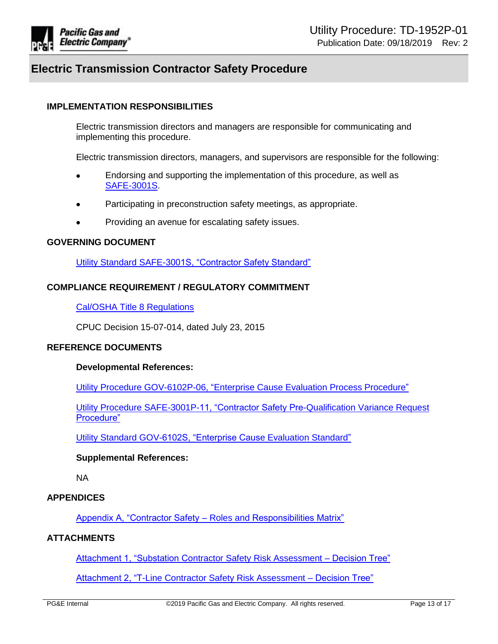

### **IMPLEMENTATION RESPONSIBILITIES**

Electric transmission directors and managers are responsible for communicating and implementing this procedure.

Electric transmission directors, managers, and supervisors are responsible for the following:

- Endorsing and supporting the implementation of this procedure, as well as [SAFE-3001S.](https://edrm.comp.pge.com/D2/servlet/Download?auth=basic&event_name=open&version=PUBLISHED&id=09131aad8a2a5ab7&format=pdf&_docbase=pge_ecm)
- Participating in preconstruction safety meetings, as appropriate.
- Providing an avenue for escalating safety issues.

#### **GOVERNING DOCUMENT**

[Utility Standard SAFE-3001S, "Contractor Safety Standard"](https://edrm.comp.pge.com/D2/servlet/Download?auth=basic&event_name=open&version=PUBLISHED&id=09131aad8a2a5ab7&format=pdf&_docbase=pge_ecm)

#### **COMPLIANCE REQUIREMENT / REGULATORY COMMITMENT**

[Cal/OSHA Title 8 Regulations](https://www.dir.ca.gov/samples/Search/query.htm)

CPUC Decision 15-07-014, dated July 23, 2015

#### <span id="page-12-0"></span>**REFERENCE DOCUMENTS**

#### **Developmental References:**

[Utility Procedure GOV-6102P-06, "Enterprise Cause Evaluation Process Procedure"](https://edrm.comp.pge.com/D2/servlet/Download?auth=basic&event_name=open&version=CURRENT&id=09131aad88f4ef97&format=pdf&_docbase=pge_ecm)

[Utility Procedure SAFE-3001P-11, "Contractor Safety Pre-Qualification Variance Request](https://edrm.comp.pge.com/D2/servlet/Download?auth=basic&event_name=open&version=CURRENT&id=09131aad85ec22d7&format=pdf&_docbase=pge_ecm)  [Procedure"](https://edrm.comp.pge.com/D2/servlet/Download?auth=basic&event_name=open&version=CURRENT&id=09131aad85ec22d7&format=pdf&_docbase=pge_ecm)

[Utility Standard GOV-6102S, "Enterprise Cause Evaluation Standard"](https://edrm.comp.pge.com/D2/servlet/Download?auth=basic&event_name=open&version=CURRENT&id=09131aad84b68872&format=pdf&_docbase=pge_ecm)

#### **Supplemental References:**

NA

#### **APPENDICES**

[Appendix A, "Contractor Safety – Roles and Responsibilities Matrix"](#page-14-0)

### **ATTACHMENTS**

[Attachment 1, "Substation Contractor Safety Risk Assessment –](https://ecmappwlsp01c2.comp.pge.com/TILVIEWER?chronicleId=09131aad894b8595&vd=false&device=false) Decision Tree"

[Attachment 2, "T-Line Contractor Safety Risk Assessment –](https://ecmappwlsp01c2.comp.pge.com/TILVIEWER?chronicleId=09131aad894b8596&vd=false&device=false) Decision Tree"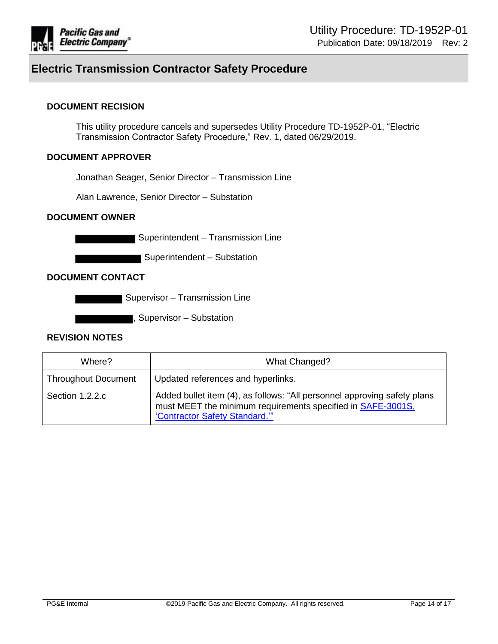

### **DOCUMENT RECISION**

This utility procedure cancels and supersedes Utility Procedure TD-1952P-01, "Electric Transmission Contractor Safety Procedure," Rev. 1, dated 06/29/2019.

### **DOCUMENT APPROVER**

Jonathan Seager, Senior Director – Transmission Line

Alan Lawrence, Senior Director – Substation

#### **DOCUMENT OWNER**

Superintendent - Transmission Line

Superintendent - Substation

### **DOCUMENT CONTACT**

**Supervisor – Transmission Line** 

, Supervisor – Substation

#### **REVISION NOTES**

| Where?                     | What Changed?                                                                                                                                                            |
|----------------------------|--------------------------------------------------------------------------------------------------------------------------------------------------------------------------|
| <b>Throughout Document</b> | Updated references and hyperlinks.                                                                                                                                       |
| Section 1.2.2.c            | Added bullet item (4), as follows: "All personnel approving safety plans<br>must MEET the minimum requirements specified in SAFE-3001S,<br>"Contractor Safety Standard." |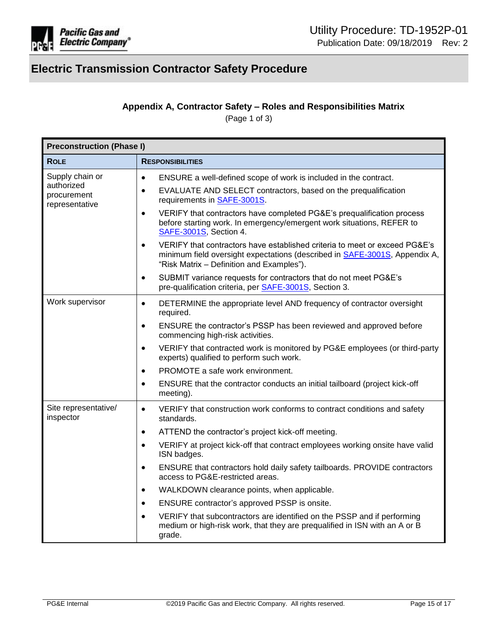

## **Appendix A, Contractor Safety – Roles and Responsibilities Matrix**

(Page 1 of 3)

<span id="page-14-0"></span>

| <b>Preconstruction (Phase I)</b>            |                                                                                                                                                                                                                            |  |  |
|---------------------------------------------|----------------------------------------------------------------------------------------------------------------------------------------------------------------------------------------------------------------------------|--|--|
| <b>ROLE</b>                                 | <b>RESPONSIBILITIES</b>                                                                                                                                                                                                    |  |  |
| Supply chain or                             | ENSURE a well-defined scope of work is included in the contract.<br>$\bullet$                                                                                                                                              |  |  |
| authorized<br>procurement<br>representative | EVALUATE AND SELECT contractors, based on the prequalification<br>$\bullet$<br>requirements in <b>SAFE-3001S</b> .                                                                                                         |  |  |
|                                             | VERIFY that contractors have completed PG&E's prequalification process<br>$\bullet$<br>before starting work. In emergency/emergent work situations, REFER to<br>SAFE-3001S, Section 4.                                     |  |  |
|                                             | VERIFY that contractors have established criteria to meet or exceed PG&E's<br>$\bullet$<br>minimum field oversight expectations (described in <b>SAFE-3001S</b> , Appendix A,<br>"Risk Matrix - Definition and Examples"). |  |  |
|                                             | SUBMIT variance requests for contractors that do not meet PG&E's<br>$\bullet$<br>pre-qualification criteria, per SAFE-3001S, Section 3.                                                                                    |  |  |
| Work supervisor                             | DETERMINE the appropriate level AND frequency of contractor oversight<br>$\bullet$<br>required.                                                                                                                            |  |  |
|                                             | ENSURE the contractor's PSSP has been reviewed and approved before<br>$\bullet$<br>commencing high-risk activities.                                                                                                        |  |  |
|                                             | VERIFY that contracted work is monitored by PG&E employees (or third-party<br>$\bullet$<br>experts) qualified to perform such work.                                                                                        |  |  |
|                                             | PROMOTE a safe work environment.<br>$\bullet$                                                                                                                                                                              |  |  |
|                                             | ENSURE that the contractor conducts an initial tailboard (project kick-off<br>$\bullet$<br>meeting).                                                                                                                       |  |  |
| Site representative/<br>inspector           | VERIFY that construction work conforms to contract conditions and safety<br>$\bullet$<br>standards.                                                                                                                        |  |  |
|                                             | ATTEND the contractor's project kick-off meeting.<br>$\bullet$                                                                                                                                                             |  |  |
|                                             | VERIFY at project kick-off that contract employees working onsite have valid<br>$\bullet$<br>ISN badges.                                                                                                                   |  |  |
|                                             | ENSURE that contractors hold daily safety tailboards. PROVIDE contractors<br>$\bullet$<br>access to PG&E-restricted areas.                                                                                                 |  |  |
|                                             | WALKDOWN clearance points, when applicable.<br>$\bullet$                                                                                                                                                                   |  |  |
|                                             | ENSURE contractor's approved PSSP is onsite.<br>$\bullet$                                                                                                                                                                  |  |  |
|                                             | VERIFY that subcontractors are identified on the PSSP and if performing<br>$\bullet$<br>medium or high-risk work, that they are prequalified in ISN with an A or B<br>grade.                                               |  |  |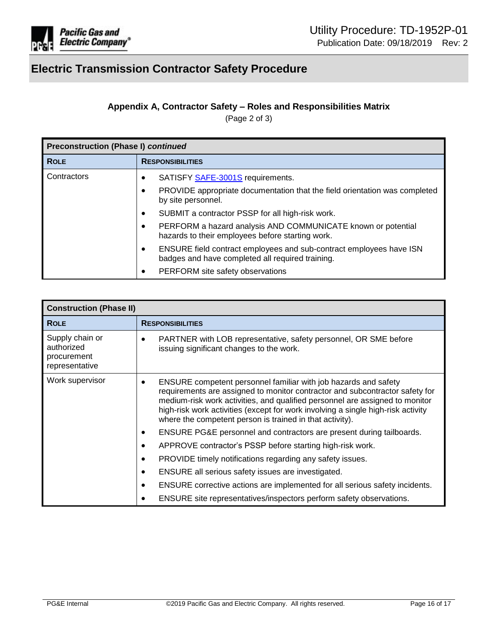

## **Appendix A, Contractor Safety – Roles and Responsibilities Matrix**

(Page 2 of 3)

| Preconstruction (Phase I) continued |                                                                                                                              |  |
|-------------------------------------|------------------------------------------------------------------------------------------------------------------------------|--|
| <b>ROLE</b>                         | <b>RESPONSIBILITIES</b>                                                                                                      |  |
| Contractors                         | SATISFY <b>SAFE-3001S</b> requirements.                                                                                      |  |
|                                     | PROVIDE appropriate documentation that the field orientation was completed<br>by site personnel.                             |  |
|                                     | SUBMIT a contractor PSSP for all high-risk work.<br>$\bullet$                                                                |  |
|                                     | PERFORM a hazard analysis AND COMMUNICATE known or potential<br>hazards to their employees before starting work.             |  |
|                                     | ENSURE field contract employees and sub-contract employees have ISN<br>٠<br>badges and have completed all required training. |  |
|                                     | PERFORM site safety observations<br>$\bullet$                                                                                |  |

| <b>Construction (Phase II)</b>                                 |                                                                                                                                                                                                                                                                                                                                                                                 |  |
|----------------------------------------------------------------|---------------------------------------------------------------------------------------------------------------------------------------------------------------------------------------------------------------------------------------------------------------------------------------------------------------------------------------------------------------------------------|--|
| <b>ROLE</b>                                                    | <b>RESPONSIBILITIES</b>                                                                                                                                                                                                                                                                                                                                                         |  |
| Supply chain or<br>authorized<br>procurement<br>representative | PARTNER with LOB representative, safety personnel, OR SME before<br>issuing significant changes to the work.                                                                                                                                                                                                                                                                    |  |
| Work supervisor                                                | ENSURE competent personnel familiar with job hazards and safety<br>requirements are assigned to monitor contractor and subcontractor safety for<br>medium-risk work activities, and qualified personnel are assigned to monitor<br>high-risk work activities (except for work involving a single high-risk activity<br>where the competent person is trained in that activity). |  |
|                                                                | ENSURE PG&E personnel and contractors are present during tailboards.                                                                                                                                                                                                                                                                                                            |  |
|                                                                | APPROVE contractor's PSSP before starting high-risk work.                                                                                                                                                                                                                                                                                                                       |  |
|                                                                | PROVIDE timely notifications regarding any safety issues.                                                                                                                                                                                                                                                                                                                       |  |
|                                                                | ENSURE all serious safety issues are investigated.<br>$\bullet$                                                                                                                                                                                                                                                                                                                 |  |
|                                                                | ENSURE corrective actions are implemented for all serious safety incidents.<br>$\bullet$                                                                                                                                                                                                                                                                                        |  |
|                                                                | ENSURE site representatives/inspectors perform safety observations.                                                                                                                                                                                                                                                                                                             |  |